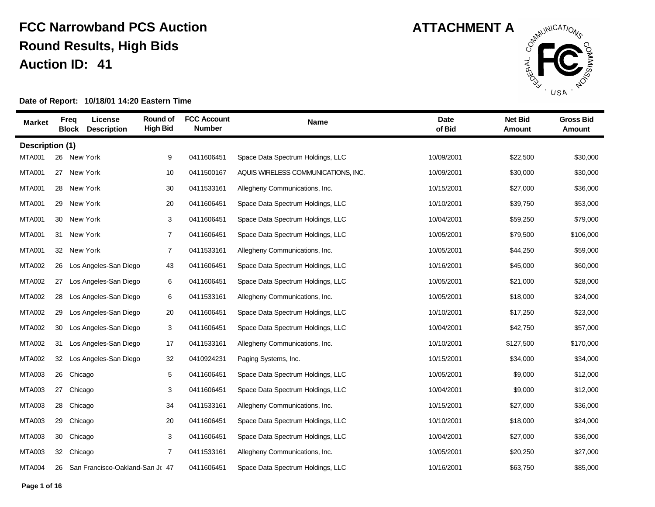

| <b>Market</b>   | <b>Freq</b><br><b>Block</b> | License<br><b>Description</b>   | Round of<br><b>High Bid</b> | <b>FCC Account</b><br><b>Number</b> | <b>Name</b>                         | <b>Date</b><br>of Bid | <b>Net Bid</b><br>Amount | <b>Gross Bid</b><br>Amount |
|-----------------|-----------------------------|---------------------------------|-----------------------------|-------------------------------------|-------------------------------------|-----------------------|--------------------------|----------------------------|
| Description (1) |                             |                                 |                             |                                     |                                     |                       |                          |                            |
| <b>MTA001</b>   | 26                          | New York                        | 9                           | 0411606451                          | Space Data Spectrum Holdings, LLC   | 10/09/2001            | \$22,500                 | \$30,000                   |
| <b>MTA001</b>   | 27                          | New York                        | 10                          | 0411500167                          | AQUIS WIRELESS COMMUNICATIONS, INC. | 10/09/2001            | \$30,000                 | \$30,000                   |
| <b>MTA001</b>   |                             | 28 New York                     | 30                          | 0411533161                          | Allegheny Communications, Inc.      | 10/15/2001            | \$27,000                 | \$36,000                   |
| <b>MTA001</b>   |                             | 29 New York                     | 20                          | 0411606451                          | Space Data Spectrum Holdings, LLC   | 10/10/2001            | \$39,750                 | \$53,000                   |
| <b>MTA001</b>   |                             | 30 New York                     | 3                           | 0411606451                          | Space Data Spectrum Holdings, LLC   | 10/04/2001            | \$59,250                 | \$79,000                   |
| <b>MTA001</b>   | 31                          | New York                        | $\overline{7}$              | 0411606451                          | Space Data Spectrum Holdings, LLC   | 10/05/2001            | \$79,500                 | \$106,000                  |
| <b>MTA001</b>   | 32                          | New York                        | $\overline{7}$              | 0411533161                          | Allegheny Communications, Inc.      | 10/05/2001            | \$44,250                 | \$59,000                   |
| <b>MTA002</b>   | 26                          | Los Angeles-San Diego           | 43                          | 0411606451                          | Space Data Spectrum Holdings, LLC   | 10/16/2001            | \$45,000                 | \$60,000                   |
| <b>MTA002</b>   | 27                          | Los Angeles-San Diego           | 6                           | 0411606451                          | Space Data Spectrum Holdings, LLC   | 10/05/2001            | \$21,000                 | \$28,000                   |
| <b>MTA002</b>   | 28                          | Los Angeles-San Diego           | 6                           | 0411533161                          | Allegheny Communications, Inc.      | 10/05/2001            | \$18,000                 | \$24,000                   |
| <b>MTA002</b>   | 29                          | Los Angeles-San Diego           | 20                          | 0411606451                          | Space Data Spectrum Holdings, LLC   | 10/10/2001            | \$17,250                 | \$23,000                   |
| <b>MTA002</b>   | 30                          | Los Angeles-San Diego           | 3                           | 0411606451                          | Space Data Spectrum Holdings, LLC   | 10/04/2001            | \$42,750                 | \$57,000                   |
| <b>MTA002</b>   | 31                          | Los Angeles-San Diego           | 17                          | 0411533161                          | Allegheny Communications, Inc.      | 10/10/2001            | \$127,500                | \$170,000                  |
| <b>MTA002</b>   | 32                          | Los Angeles-San Diego           | 32                          | 0410924231                          | Paging Systems, Inc.                | 10/15/2001            | \$34,000                 | \$34,000                   |
| <b>MTA003</b>   |                             | 26 Chicago                      | 5                           | 0411606451                          | Space Data Spectrum Holdings, LLC   | 10/05/2001            | \$9,000                  | \$12,000                   |
| <b>MTA003</b>   | 27                          | Chicago                         | 3                           | 0411606451                          | Space Data Spectrum Holdings, LLC   | 10/04/2001            | \$9,000                  | \$12,000                   |
| <b>MTA003</b>   |                             | 28 Chicago                      | 34                          | 0411533161                          | Allegheny Communications, Inc.      | 10/15/2001            | \$27,000                 | \$36,000                   |
| <b>MTA003</b>   | 29                          | Chicago                         | 20                          | 0411606451                          | Space Data Spectrum Holdings, LLC   | 10/10/2001            | \$18,000                 | \$24,000                   |
| <b>MTA003</b>   | 30                          | Chicago                         | 3                           | 0411606451                          | Space Data Spectrum Holdings, LLC   | 10/04/2001            | \$27,000                 | \$36,000                   |
| <b>MTA003</b>   | 32                          | Chicago                         | $\overline{7}$              | 0411533161                          | Allegheny Communications, Inc.      | 10/05/2001            | \$20,250                 | \$27,000                   |
| <b>MTA004</b>   | 26                          | San Francisco-Oakland-San Jr 47 |                             | 0411606451                          | Space Data Spectrum Holdings, LLC   | 10/16/2001            | \$63,750                 | \$85,000                   |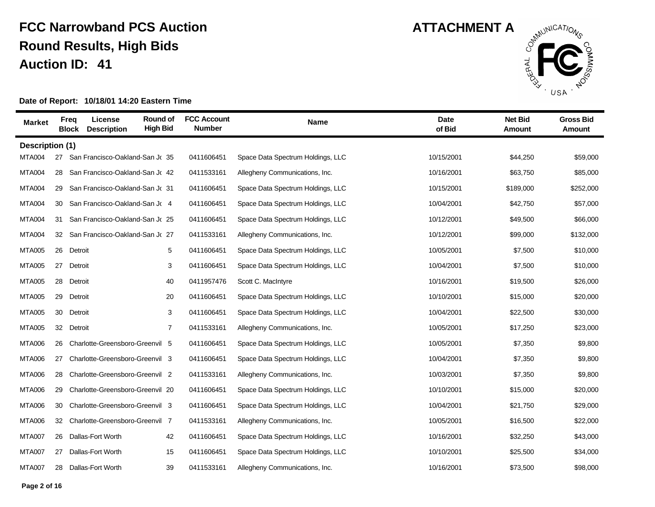

| <b>Market</b>   |    | License<br><b>Freq</b><br><b>Block</b><br><b>Description</b> | Round of<br><b>High Bid</b> | <b>FCC Account</b><br><b>Number</b> | Name                              | <b>Date</b><br>of Bid | <b>Net Bid</b><br>Amount | <b>Gross Bid</b><br>Amount |
|-----------------|----|--------------------------------------------------------------|-----------------------------|-------------------------------------|-----------------------------------|-----------------------|--------------------------|----------------------------|
| Description (1) |    |                                                              |                             |                                     |                                   |                       |                          |                            |
| <b>MTA004</b>   | 27 | San Francisco-Oakland-San Jr 35                              |                             | 0411606451                          | Space Data Spectrum Holdings, LLC | 10/15/2001            | \$44,250                 | \$59,000                   |
| <b>MTA004</b>   | 28 | San Francisco-Oakland-San Jr 42                              |                             | 0411533161                          | Allegheny Communications, Inc.    | 10/16/2001            | \$63,750                 | \$85,000                   |
| <b>MTA004</b>   | 29 | San Francisco-Oakland-San Jr 31                              |                             | 0411606451                          | Space Data Spectrum Holdings, LLC | 10/15/2001            | \$189,000                | \$252,000                  |
| <b>MTA004</b>   | 30 | San Francisco-Oakland-San Jr 4                               |                             | 0411606451                          | Space Data Spectrum Holdings, LLC | 10/04/2001            | \$42,750                 | \$57,000                   |
| <b>MTA004</b>   | 31 | San Francisco-Oakland-San Jr 25                              |                             | 0411606451                          | Space Data Spectrum Holdings, LLC | 10/12/2001            | \$49,500                 | \$66,000                   |
| <b>MTA004</b>   | 32 | San Francisco-Oakland-San Jr 27                              |                             | 0411533161                          | Allegheny Communications, Inc.    | 10/12/2001            | \$99,000                 | \$132,000                  |
| <b>MTA005</b>   | 26 | Detroit                                                      | 5                           | 0411606451                          | Space Data Spectrum Holdings, LLC | 10/05/2001            | \$7,500                  | \$10,000                   |
| <b>MTA005</b>   | 27 | Detroit                                                      | 3                           | 0411606451                          | Space Data Spectrum Holdings, LLC | 10/04/2001            | \$7,500                  | \$10,000                   |
| <b>MTA005</b>   | 28 | Detroit                                                      | 40                          | 0411957476                          | Scott C. MacIntyre                | 10/16/2001            | \$19,500                 | \$26,000                   |
| <b>MTA005</b>   | 29 | Detroit                                                      | 20                          | 0411606451                          | Space Data Spectrum Holdings, LLC | 10/10/2001            | \$15,000                 | \$20,000                   |
| <b>MTA005</b>   | 30 | Detroit                                                      | 3                           | 0411606451                          | Space Data Spectrum Holdings, LLC | 10/04/2001            | \$22,500                 | \$30,000                   |
| <b>MTA005</b>   | 32 | Detroit                                                      | $\overline{7}$              | 0411533161                          | Allegheny Communications, Inc.    | 10/05/2001            | \$17,250                 | \$23,000                   |
| <b>MTA006</b>   | 26 | Charlotte-Greensboro-Greenvil                                | 5                           | 0411606451                          | Space Data Spectrum Holdings, LLC | 10/05/2001            | \$7,350                  | \$9,800                    |
| <b>MTA006</b>   | 27 | Charlotte-Greensboro-Greenvil 3                              |                             | 0411606451                          | Space Data Spectrum Holdings, LLC | 10/04/2001            | \$7,350                  | \$9,800                    |
| <b>MTA006</b>   | 28 | Charlotte-Greensboro-Greenvil 2                              |                             | 0411533161                          | Allegheny Communications, Inc.    | 10/03/2001            | \$7,350                  | \$9,800                    |
| <b>MTA006</b>   | 29 | Charlotte-Greensboro-Greenvil 20                             |                             | 0411606451                          | Space Data Spectrum Holdings, LLC | 10/10/2001            | \$15,000                 | \$20,000                   |
| <b>MTA006</b>   | 30 | Charlotte-Greensboro-Greenvil 3                              |                             | 0411606451                          | Space Data Spectrum Holdings, LLC | 10/04/2001            | \$21,750                 | \$29,000                   |
| <b>MTA006</b>   | 32 | Charlotte-Greensboro-Greenvil 7                              |                             | 0411533161                          | Allegheny Communications, Inc.    | 10/05/2001            | \$16,500                 | \$22,000                   |
| <b>MTA007</b>   | 26 | Dallas-Fort Worth                                            | 42                          | 0411606451                          | Space Data Spectrum Holdings, LLC | 10/16/2001            | \$32,250                 | \$43,000                   |
| <b>MTA007</b>   | 27 | Dallas-Fort Worth                                            | 15                          | 0411606451                          | Space Data Spectrum Holdings, LLC | 10/10/2001            | \$25,500                 | \$34,000                   |
| <b>MTA007</b>   | 28 | Dallas-Fort Worth                                            | 39                          | 0411533161                          | Allegheny Communications, Inc.    | 10/16/2001            | \$73,500                 | \$98,000                   |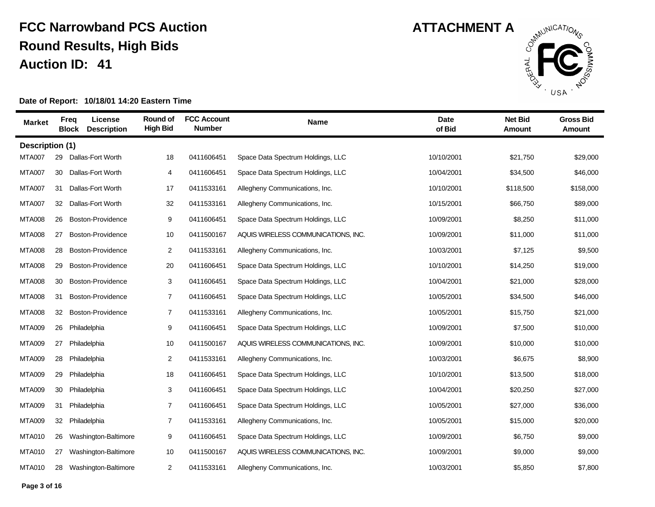

| <b>Market</b>   | <b>Freq</b><br><b>Block</b> | License<br><b>Description</b> | Round of<br><b>High Bid</b> | <b>FCC Account</b><br><b>Number</b> | <b>Name</b>                         | <b>Date</b><br>of Bid | <b>Net Bid</b><br>Amount | <b>Gross Bid</b><br>Amount |
|-----------------|-----------------------------|-------------------------------|-----------------------------|-------------------------------------|-------------------------------------|-----------------------|--------------------------|----------------------------|
| Description (1) |                             |                               |                             |                                     |                                     |                       |                          |                            |
| <b>MTA007</b>   | 29                          | Dallas-Fort Worth             | 18                          | 0411606451                          | Space Data Spectrum Holdings, LLC   | 10/10/2001            | \$21,750                 | \$29,000                   |
| <b>MTA007</b>   | 30                          | Dallas-Fort Worth             | 4                           | 0411606451                          | Space Data Spectrum Holdings, LLC   | 10/04/2001            | \$34,500                 | \$46,000                   |
| <b>MTA007</b>   | 31                          | Dallas-Fort Worth             | 17                          | 0411533161                          | Allegheny Communications, Inc.      | 10/10/2001            | \$118,500                | \$158,000                  |
| <b>MTA007</b>   | 32                          | Dallas-Fort Worth             | 32                          | 0411533161                          | Allegheny Communications, Inc.      | 10/15/2001            | \$66,750                 | \$89,000                   |
| <b>MTA008</b>   | 26                          | Boston-Providence             | 9                           | 0411606451                          | Space Data Spectrum Holdings, LLC   | 10/09/2001            | \$8,250                  | \$11,000                   |
| <b>MTA008</b>   | 27                          | Boston-Providence             | 10                          | 0411500167                          | AQUIS WIRELESS COMMUNICATIONS, INC. | 10/09/2001            | \$11,000                 | \$11,000                   |
| <b>MTA008</b>   | 28                          | Boston-Providence             | $\overline{2}$              | 0411533161                          | Allegheny Communications, Inc.      | 10/03/2001            | \$7,125                  | \$9,500                    |
| <b>MTA008</b>   | 29                          | Boston-Providence             | 20                          | 0411606451                          | Space Data Spectrum Holdings, LLC   | 10/10/2001            | \$14,250                 | \$19,000                   |
| <b>MTA008</b>   | 30                          | Boston-Providence             | 3                           | 0411606451                          | Space Data Spectrum Holdings, LLC   | 10/04/2001            | \$21,000                 | \$28,000                   |
| <b>MTA008</b>   | 31                          | Boston-Providence             | $\overline{7}$              | 0411606451                          | Space Data Spectrum Holdings, LLC   | 10/05/2001            | \$34,500                 | \$46,000                   |
| <b>MTA008</b>   | 32                          | Boston-Providence             | $\overline{7}$              | 0411533161                          | Allegheny Communications, Inc.      | 10/05/2001            | \$15,750                 | \$21,000                   |
| <b>MTA009</b>   | 26                          | Philadelphia                  | 9                           | 0411606451                          | Space Data Spectrum Holdings, LLC   | 10/09/2001            | \$7,500                  | \$10,000                   |
| <b>MTA009</b>   | 27                          | Philadelphia                  | 10                          | 0411500167                          | AQUIS WIRELESS COMMUNICATIONS, INC. | 10/09/2001            | \$10,000                 | \$10,000                   |
| <b>MTA009</b>   | 28                          | Philadelphia                  | 2                           | 0411533161                          | Allegheny Communications, Inc.      | 10/03/2001            | \$6,675                  | \$8,900                    |
| <b>MTA009</b>   | 29                          | Philadelphia                  | 18                          | 0411606451                          | Space Data Spectrum Holdings, LLC   | 10/10/2001            | \$13,500                 | \$18,000                   |
| <b>MTA009</b>   | 30                          | Philadelphia                  | 3                           | 0411606451                          | Space Data Spectrum Holdings, LLC   | 10/04/2001            | \$20,250                 | \$27,000                   |
| <b>MTA009</b>   | 31                          | Philadelphia                  | $\overline{7}$              | 0411606451                          | Space Data Spectrum Holdings, LLC   | 10/05/2001            | \$27,000                 | \$36,000                   |
| <b>MTA009</b>   | 32                          | Philadelphia                  | $\overline{7}$              | 0411533161                          | Allegheny Communications, Inc.      | 10/05/2001            | \$15,000                 | \$20,000                   |
| <b>MTA010</b>   | 26                          | Washington-Baltimore          | 9                           | 0411606451                          | Space Data Spectrum Holdings, LLC   | 10/09/2001            | \$6,750                  | \$9,000                    |
| <b>MTA010</b>   | 27                          | Washington-Baltimore          | 10                          | 0411500167                          | AQUIS WIRELESS COMMUNICATIONS, INC. | 10/09/2001            | \$9,000                  | \$9,000                    |
| <b>MTA010</b>   | 28                          | Washington-Baltimore          | $\overline{c}$              | 0411533161                          | Allegheny Communications, Inc.      | 10/03/2001            | \$5,850                  | \$7,800                    |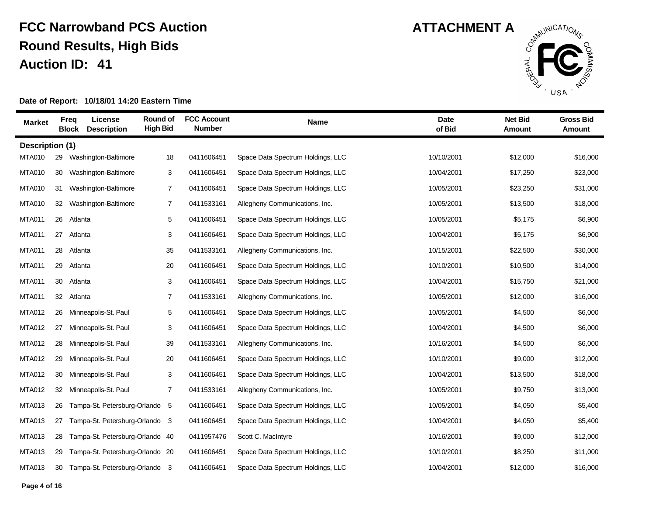

| <b>Market</b>   | <b>Freq</b><br><b>Block</b> | License<br><b>Description</b>   | Round of<br><b>High Bid</b> | <b>FCC Account</b><br><b>Number</b> | <b>Name</b>                       | <b>Date</b><br>of Bid | <b>Net Bid</b><br>Amount | <b>Gross Bid</b><br>Amount |
|-----------------|-----------------------------|---------------------------------|-----------------------------|-------------------------------------|-----------------------------------|-----------------------|--------------------------|----------------------------|
| Description (1) |                             |                                 |                             |                                     |                                   |                       |                          |                            |
| <b>MTA010</b>   | 29                          | Washington-Baltimore            | 18                          | 0411606451                          | Space Data Spectrum Holdings, LLC | 10/10/2001            | \$12,000                 | \$16,000                   |
| <b>MTA010</b>   | 30                          | Washington-Baltimore            | 3                           | 0411606451                          | Space Data Spectrum Holdings, LLC | 10/04/2001            | \$17,250                 | \$23,000                   |
| <b>MTA010</b>   | 31                          | Washington-Baltimore            | $\overline{7}$              | 0411606451                          | Space Data Spectrum Holdings, LLC | 10/05/2001            | \$23,250                 | \$31,000                   |
| <b>MTA010</b>   | 32                          | Washington-Baltimore            | $\overline{7}$              | 0411533161                          | Allegheny Communications, Inc.    | 10/05/2001            | \$13,500                 | \$18,000                   |
| <b>MTA011</b>   | 26                          | Atlanta                         | 5                           | 0411606451                          | Space Data Spectrum Holdings, LLC | 10/05/2001            | \$5,175                  | \$6,900                    |
| <b>MTA011</b>   | 27                          | Atlanta                         | 3                           | 0411606451                          | Space Data Spectrum Holdings, LLC | 10/04/2001            | \$5,175                  | \$6,900                    |
| <b>MTA011</b>   | 28                          | Atlanta                         | 35                          | 0411533161                          | Allegheny Communications, Inc.    | 10/15/2001            | \$22,500                 | \$30,000                   |
| <b>MTA011</b>   | 29                          | Atlanta                         | 20                          | 0411606451                          | Space Data Spectrum Holdings, LLC | 10/10/2001            | \$10,500                 | \$14,000                   |
| <b>MTA011</b>   | 30                          | Atlanta                         | 3                           | 0411606451                          | Space Data Spectrum Holdings, LLC | 10/04/2001            | \$15,750                 | \$21,000                   |
| <b>MTA011</b>   | 32                          | Atlanta                         | $\overline{7}$              | 0411533161                          | Allegheny Communications, Inc.    | 10/05/2001            | \$12,000                 | \$16,000                   |
| <b>MTA012</b>   | 26                          | Minneapolis-St. Paul            | 5                           | 0411606451                          | Space Data Spectrum Holdings, LLC | 10/05/2001            | \$4,500                  | \$6,000                    |
| <b>MTA012</b>   | 27                          | Minneapolis-St. Paul            | 3                           | 0411606451                          | Space Data Spectrum Holdings, LLC | 10/04/2001            | \$4,500                  | \$6,000                    |
| <b>MTA012</b>   | 28                          | Minneapolis-St. Paul            | 39                          | 0411533161                          | Allegheny Communications, Inc.    | 10/16/2001            | \$4,500                  | \$6,000                    |
| <b>MTA012</b>   | 29                          | Minneapolis-St. Paul            | 20                          | 0411606451                          | Space Data Spectrum Holdings, LLC | 10/10/2001            | \$9,000                  | \$12,000                   |
| <b>MTA012</b>   | 30                          | Minneapolis-St. Paul            | 3                           | 0411606451                          | Space Data Spectrum Holdings, LLC | 10/04/2001            | \$13,500                 | \$18,000                   |
| <b>MTA012</b>   | 32                          | Minneapolis-St. Paul            | $\overline{7}$              | 0411533161                          | Allegheny Communications, Inc.    | 10/05/2001            | \$9,750                  | \$13,000                   |
| <b>MTA013</b>   | 26                          | Tampa-St. Petersburg-Orlando 5  |                             | 0411606451                          | Space Data Spectrum Holdings, LLC | 10/05/2001            | \$4,050                  | \$5,400                    |
| <b>MTA013</b>   | 27                          | Tampa-St. Petersburg-Orlando 3  |                             | 0411606451                          | Space Data Spectrum Holdings, LLC | 10/04/2001            | \$4,050                  | \$5,400                    |
| <b>MTA013</b>   | 28                          | Tampa-St. Petersburg-Orlando 40 |                             | 0411957476                          | Scott C. MacIntyre                | 10/16/2001            | \$9,000                  | \$12,000                   |
| <b>MTA013</b>   | 29                          | Tampa-St. Petersburg-Orlando 20 |                             | 0411606451                          | Space Data Spectrum Holdings, LLC | 10/10/2001            | \$8,250                  | \$11,000                   |
| <b>MTA013</b>   | 30                          | Tampa-St. Petersburg-Orlando 3  |                             | 0411606451                          | Space Data Spectrum Holdings, LLC | 10/04/2001            | \$12,000                 | \$16,000                   |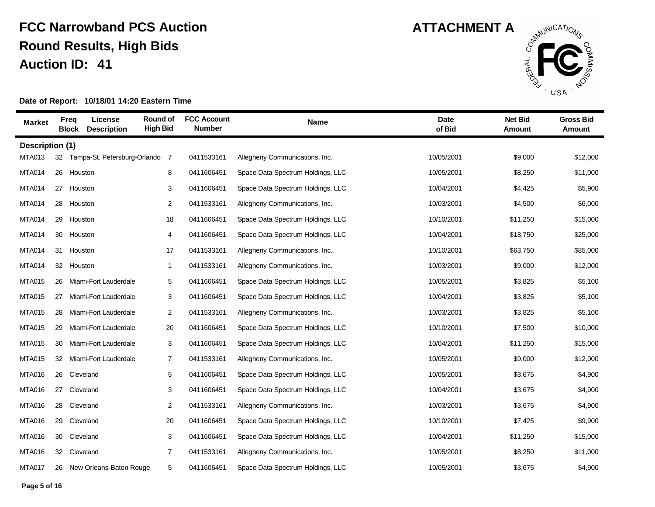

| <b>Market</b>   |    | License<br><b>Freq</b><br><b>Block</b><br><b>Description</b> | Round of<br><b>High Bid</b> | <b>FCC Account</b><br><b>Number</b> | Name                              | <b>Date</b><br>of Bid | <b>Net Bid</b><br>Amount | <b>Gross Bid</b><br>Amount |
|-----------------|----|--------------------------------------------------------------|-----------------------------|-------------------------------------|-----------------------------------|-----------------------|--------------------------|----------------------------|
| Description (1) |    |                                                              |                             |                                     |                                   |                       |                          |                            |
| <b>MTA013</b>   | 32 | Tampa-St. Petersburg-Orlando                                 | -7                          | 0411533161                          | Allegheny Communications, Inc.    | 10/05/2001            | \$9,000                  | \$12,000                   |
| <b>MTA014</b>   | 26 | Houston                                                      | 8                           | 0411606451                          | Space Data Spectrum Holdings, LLC | 10/05/2001            | \$8,250                  | \$11,000                   |
| <b>MTA014</b>   | 27 | Houston                                                      | 3                           | 0411606451                          | Space Data Spectrum Holdings, LLC | 10/04/2001            | \$4,425                  | \$5,900                    |
| <b>MTA014</b>   | 28 | Houston                                                      | $\overline{2}$              | 0411533161                          | Allegheny Communications, Inc.    | 10/03/2001            | \$4,500                  | \$6,000                    |
| <b>MTA014</b>   | 29 | Houston                                                      | 18                          | 0411606451                          | Space Data Spectrum Holdings, LLC | 10/10/2001            | \$11,250                 | \$15,000                   |
| <b>MTA014</b>   | 30 | Houston                                                      | $\overline{4}$              | 0411606451                          | Space Data Spectrum Holdings, LLC | 10/04/2001            | \$18,750                 | \$25,000                   |
| <b>MTA014</b>   | 31 | Houston                                                      | 17                          | 0411533161                          | Allegheny Communications, Inc.    | 10/10/2001            | \$63,750                 | \$85,000                   |
| <b>MTA014</b>   | 32 | Houston                                                      | $\mathbf{1}$                | 0411533161                          | Allegheny Communications, Inc.    | 10/03/2001            | \$9,000                  | \$12,000                   |
| <b>MTA015</b>   | 26 | Miami-Fort Lauderdale                                        | 5                           | 0411606451                          | Space Data Spectrum Holdings, LLC | 10/05/2001            | \$3,825                  | \$5,100                    |
| <b>MTA015</b>   | 27 | Miami-Fort Lauderdale                                        | 3                           | 0411606451                          | Space Data Spectrum Holdings, LLC | 10/04/2001            | \$3,825                  | \$5,100                    |
| <b>MTA015</b>   | 28 | Miami-Fort Lauderdale                                        | $\overline{2}$              | 0411533161                          | Allegheny Communications, Inc.    | 10/03/2001            | \$3,825                  | \$5,100                    |
| <b>MTA015</b>   | 29 | Miami-Fort Lauderdale                                        | 20                          | 0411606451                          | Space Data Spectrum Holdings, LLC | 10/10/2001            | \$7,500                  | \$10,000                   |
| <b>MTA015</b>   | 30 | Miami-Fort Lauderdale                                        | 3                           | 0411606451                          | Space Data Spectrum Holdings, LLC | 10/04/2001            | \$11,250                 | \$15,000                   |
| <b>MTA015</b>   | 32 | Miami-Fort Lauderdale                                        | $\overline{7}$              | 0411533161                          | Allegheny Communications, Inc.    | 10/05/2001            | \$9,000                  | \$12,000                   |
| <b>MTA016</b>   | 26 | Cleveland                                                    | 5                           | 0411606451                          | Space Data Spectrum Holdings, LLC | 10/05/2001            | \$3,675                  | \$4,900                    |
| <b>MTA016</b>   | 27 | Cleveland                                                    | 3                           | 0411606451                          | Space Data Spectrum Holdings, LLC | 10/04/2001            | \$3,675                  | \$4,900                    |
| <b>MTA016</b>   | 28 | Cleveland                                                    | $\overline{2}$              | 0411533161                          | Allegheny Communications, Inc.    | 10/03/2001            | \$3,675                  | \$4,900                    |
| <b>MTA016</b>   | 29 | Cleveland                                                    | 20                          | 0411606451                          | Space Data Spectrum Holdings, LLC | 10/10/2001            | \$7,425                  | \$9,900                    |
| <b>MTA016</b>   | 30 | Cleveland                                                    | 3                           | 0411606451                          | Space Data Spectrum Holdings, LLC | 10/04/2001            | \$11,250                 | \$15,000                   |
| <b>MTA016</b>   | 32 | Cleveland                                                    | 7                           | 0411533161                          | Allegheny Communications, Inc.    | 10/05/2001            | \$8,250                  | \$11,000                   |
| <b>MTA017</b>   |    | 26 New Orleans-Baton Rouge                                   | 5                           | 0411606451                          | Space Data Spectrum Holdings, LLC | 10/05/2001            | \$3,675                  | \$4,900                    |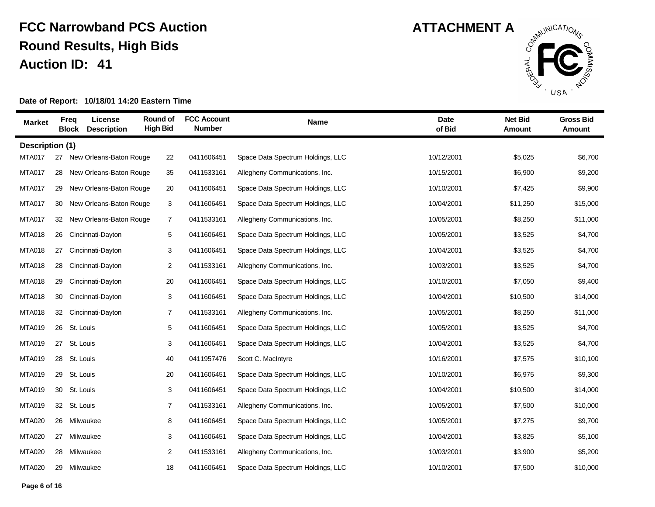

| <b>Market</b>   |    | License<br><b>Freq</b><br><b>Description</b><br><b>Block</b> | Round of<br><b>High Bid</b> | <b>FCC Account</b><br><b>Number</b> | <b>Name</b>                       | <b>Date</b><br>of Bid | <b>Net Bid</b><br>Amount | <b>Gross Bid</b><br>Amount |
|-----------------|----|--------------------------------------------------------------|-----------------------------|-------------------------------------|-----------------------------------|-----------------------|--------------------------|----------------------------|
| Description (1) |    |                                                              |                             |                                     |                                   |                       |                          |                            |
| <b>MTA017</b>   | 27 | New Orleans-Baton Rouge                                      | 22                          | 0411606451                          | Space Data Spectrum Holdings, LLC | 10/12/2001            | \$5,025                  | \$6,700                    |
| <b>MTA017</b>   | 28 | New Orleans-Baton Rouge                                      | 35                          | 0411533161                          | Allegheny Communications, Inc.    | 10/15/2001            | \$6,900                  | \$9,200                    |
| MTA017          | 29 | New Orleans-Baton Rouge                                      | 20                          | 0411606451                          | Space Data Spectrum Holdings, LLC | 10/10/2001            | \$7,425                  | \$9,900                    |
| <b>MTA017</b>   | 30 | New Orleans-Baton Rouge                                      | 3                           | 0411606451                          | Space Data Spectrum Holdings, LLC | 10/04/2001            | \$11,250                 | \$15,000                   |
| <b>MTA017</b>   | 32 | New Orleans-Baton Rouge                                      | 7                           | 0411533161                          | Allegheny Communications, Inc.    | 10/05/2001            | \$8,250                  | \$11,000                   |
| <b>MTA018</b>   | 26 | Cincinnati-Dayton                                            | 5                           | 0411606451                          | Space Data Spectrum Holdings, LLC | 10/05/2001            | \$3,525                  | \$4,700                    |
| <b>MTA018</b>   | 27 | Cincinnati-Dayton                                            | 3                           | 0411606451                          | Space Data Spectrum Holdings, LLC | 10/04/2001            | \$3,525                  | \$4,700                    |
| <b>MTA018</b>   | 28 | Cincinnati-Dayton                                            | $\overline{2}$              | 0411533161                          | Allegheny Communications, Inc.    | 10/03/2001            | \$3,525                  | \$4,700                    |
| <b>MTA018</b>   | 29 | Cincinnati-Dayton                                            | 20                          | 0411606451                          | Space Data Spectrum Holdings, LLC | 10/10/2001            | \$7,050                  | \$9,400                    |
| <b>MTA018</b>   | 30 | Cincinnati-Dayton                                            | 3                           | 0411606451                          | Space Data Spectrum Holdings, LLC | 10/04/2001            | \$10,500                 | \$14,000                   |
| <b>MTA018</b>   | 32 | Cincinnati-Dayton                                            | 7                           | 0411533161                          | Allegheny Communications, Inc.    | 10/05/2001            | \$8,250                  | \$11,000                   |
| <b>MTA019</b>   | 26 | St. Louis                                                    | $\sqrt{5}$                  | 0411606451                          | Space Data Spectrum Holdings, LLC | 10/05/2001            | \$3,525                  | \$4,700                    |
| <b>MTA019</b>   | 27 | St. Louis                                                    | 3                           | 0411606451                          | Space Data Spectrum Holdings, LLC | 10/04/2001            | \$3,525                  | \$4,700                    |
| <b>MTA019</b>   | 28 | St. Louis                                                    | 40                          | 0411957476                          | Scott C. MacIntyre                | 10/16/2001            | \$7,575                  | \$10,100                   |
| <b>MTA019</b>   | 29 | St. Louis                                                    | 20                          | 0411606451                          | Space Data Spectrum Holdings, LLC | 10/10/2001            | \$6,975                  | \$9,300                    |
| <b>MTA019</b>   | 30 | St. Louis                                                    | 3                           | 0411606451                          | Space Data Spectrum Holdings, LLC | 10/04/2001            | \$10,500                 | \$14,000                   |
| <b>MTA019</b>   | 32 | St. Louis                                                    | $\overline{7}$              | 0411533161                          | Allegheny Communications, Inc.    | 10/05/2001            | \$7,500                  | \$10,000                   |
| <b>MTA020</b>   | 26 | Milwaukee                                                    | 8                           | 0411606451                          | Space Data Spectrum Holdings, LLC | 10/05/2001            | \$7,275                  | \$9,700                    |
| <b>MTA020</b>   | 27 | Milwaukee                                                    | 3                           | 0411606451                          | Space Data Spectrum Holdings, LLC | 10/04/2001            | \$3,825                  | \$5,100                    |
| <b>MTA020</b>   | 28 | Milwaukee                                                    | 2                           | 0411533161                          | Allegheny Communications, Inc.    | 10/03/2001            | \$3,900                  | \$5,200                    |
| <b>MTA020</b>   | 29 | Milwaukee                                                    | 18                          | 0411606451                          | Space Data Spectrum Holdings, LLC | 10/10/2001            | \$7,500                  | \$10,000                   |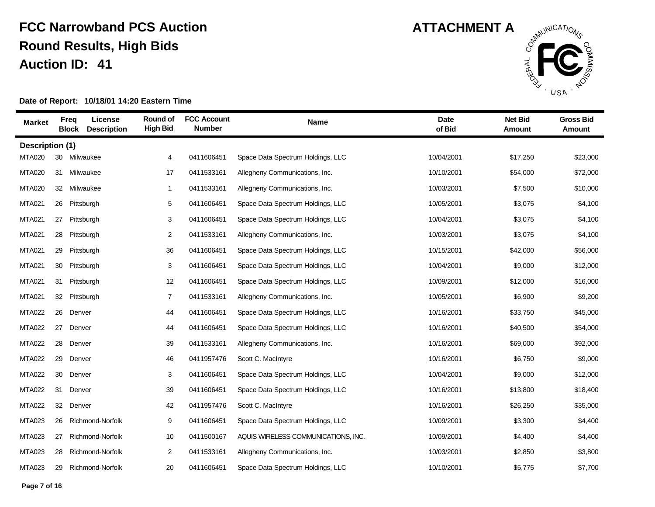

| <b>Market</b>   | <b>Freq</b><br><b>Block</b> | License<br><b>Description</b> | Round of<br><b>High Bid</b> | <b>FCC Account</b><br><b>Number</b> | <b>Name</b>                         | <b>Date</b><br>of Bid | <b>Net Bid</b><br>Amount | <b>Gross Bid</b><br>Amount |
|-----------------|-----------------------------|-------------------------------|-----------------------------|-------------------------------------|-------------------------------------|-----------------------|--------------------------|----------------------------|
| Description (1) |                             |                               |                             |                                     |                                     |                       |                          |                            |
| <b>MTA020</b>   | 30                          | Milwaukee                     | 4                           | 0411606451                          | Space Data Spectrum Holdings, LLC   | 10/04/2001            | \$17,250                 | \$23,000                   |
| <b>MTA020</b>   | 31                          | Milwaukee                     | 17                          | 0411533161                          | Allegheny Communications, Inc.      | 10/10/2001            | \$54,000                 | \$72,000                   |
| <b>MTA020</b>   | 32                          | Milwaukee                     | $\mathbf{1}$                | 0411533161                          | Allegheny Communications, Inc.      | 10/03/2001            | \$7,500                  | \$10,000                   |
| <b>MTA021</b>   | 26                          | Pittsburgh                    | 5                           | 0411606451                          | Space Data Spectrum Holdings, LLC   | 10/05/2001            | \$3,075                  | \$4,100                    |
| <b>MTA021</b>   | 27                          | Pittsburgh                    | 3                           | 0411606451                          | Space Data Spectrum Holdings, LLC   | 10/04/2001            | \$3,075                  | \$4,100                    |
| <b>MTA021</b>   | 28                          | Pittsburgh                    | 2                           | 0411533161                          | Allegheny Communications, Inc.      | 10/03/2001            | \$3,075                  | \$4,100                    |
| <b>MTA021</b>   | 29                          | Pittsburgh                    | 36                          | 0411606451                          | Space Data Spectrum Holdings, LLC   | 10/15/2001            | \$42,000                 | \$56,000                   |
| <b>MTA021</b>   | 30                          | Pittsburgh                    | 3                           | 0411606451                          | Space Data Spectrum Holdings, LLC   | 10/04/2001            | \$9,000                  | \$12,000                   |
| <b>MTA021</b>   | 31                          | Pittsburgh                    | 12                          | 0411606451                          | Space Data Spectrum Holdings, LLC   | 10/09/2001            | \$12,000                 | \$16,000                   |
| <b>MTA021</b>   | 32                          | Pittsburgh                    | $\overline{7}$              | 0411533161                          | Allegheny Communications, Inc.      | 10/05/2001            | \$6,900                  | \$9,200                    |
| <b>MTA022</b>   | 26                          | Denver                        | 44                          | 0411606451                          | Space Data Spectrum Holdings, LLC   | 10/16/2001            | \$33,750                 | \$45,000                   |
| <b>MTA022</b>   | 27                          | Denver                        | 44                          | 0411606451                          | Space Data Spectrum Holdings, LLC   | 10/16/2001            | \$40,500                 | \$54,000                   |
| <b>MTA022</b>   | 28                          | Denver                        | 39                          | 0411533161                          | Allegheny Communications, Inc.      | 10/16/2001            | \$69,000                 | \$92,000                   |
| <b>MTA022</b>   | 29                          | Denver                        | 46                          | 0411957476                          | Scott C. MacIntyre                  | 10/16/2001            | \$6,750                  | \$9,000                    |
| <b>MTA022</b>   | 30                          | Denver                        | 3                           | 0411606451                          | Space Data Spectrum Holdings, LLC   | 10/04/2001            | \$9,000                  | \$12,000                   |
| <b>MTA022</b>   | 31                          | Denver                        | 39                          | 0411606451                          | Space Data Spectrum Holdings, LLC   | 10/16/2001            | \$13,800                 | \$18,400                   |
| <b>MTA022</b>   | 32                          | Denver                        | 42                          | 0411957476                          | Scott C. MacIntyre                  | 10/16/2001            | \$26,250                 | \$35,000                   |
| <b>MTA023</b>   | 26                          | Richmond-Norfolk              | 9                           | 0411606451                          | Space Data Spectrum Holdings, LLC   | 10/09/2001            | \$3,300                  | \$4,400                    |
| <b>MTA023</b>   | 27                          | Richmond-Norfolk              | 10                          | 0411500167                          | AQUIS WIRELESS COMMUNICATIONS, INC. | 10/09/2001            | \$4,400                  | \$4,400                    |
| <b>MTA023</b>   | 28                          | Richmond-Norfolk              | $\overline{2}$              | 0411533161                          | Allegheny Communications, Inc.      | 10/03/2001            | \$2,850                  | \$3,800                    |
| <b>MTA023</b>   | 29                          | Richmond-Norfolk              | 20                          | 0411606451                          | Space Data Spectrum Holdings, LLC   | 10/10/2001            | \$5,775                  | \$7,700                    |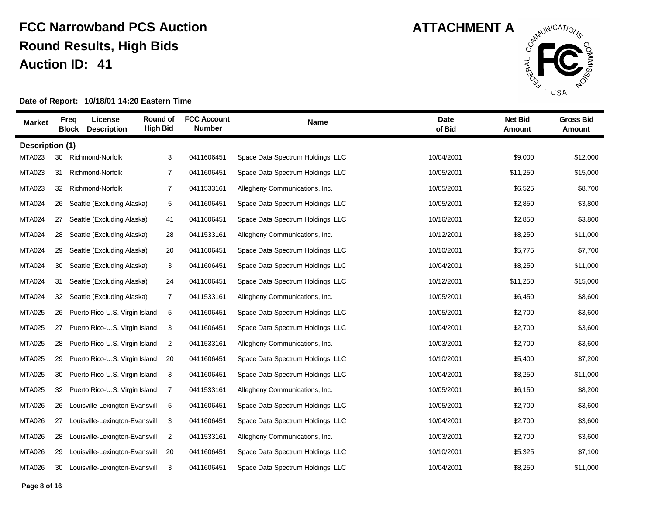

| <b>Market</b>   | Freg<br><b>Block</b> | License<br><b>Description</b>  | Round of<br><b>High Bid</b> | <b>FCC Account</b><br><b>Number</b> | <b>Name</b>                       | <b>Date</b><br>of Bid | <b>Net Bid</b><br>Amount | <b>Gross Bid</b><br><b>Amount</b> |
|-----------------|----------------------|--------------------------------|-----------------------------|-------------------------------------|-----------------------------------|-----------------------|--------------------------|-----------------------------------|
| Description (1) |                      |                                |                             |                                     |                                   |                       |                          |                                   |
| <b>MTA023</b>   | 30                   | Richmond-Norfolk               | 3                           | 0411606451                          | Space Data Spectrum Holdings, LLC | 10/04/2001            | \$9,000                  | \$12,000                          |
| <b>MTA023</b>   | 31                   | Richmond-Norfolk               | 7                           | 0411606451                          | Space Data Spectrum Holdings, LLC | 10/05/2001            | \$11,250                 | \$15,000                          |
| <b>MTA023</b>   | 32                   | Richmond-Norfolk               | 7                           | 0411533161                          | Allegheny Communications, Inc.    | 10/05/2001            | \$6,525                  | \$8,700                           |
| <b>MTA024</b>   | 26                   | Seattle (Excluding Alaska)     | 5                           | 0411606451                          | Space Data Spectrum Holdings, LLC | 10/05/2001            | \$2,850                  | \$3,800                           |
| <b>MTA024</b>   | 27                   | Seattle (Excluding Alaska)     | 41                          | 0411606451                          | Space Data Spectrum Holdings, LLC | 10/16/2001            | \$2,850                  | \$3,800                           |
| <b>MTA024</b>   | 28                   | Seattle (Excluding Alaska)     | 28                          | 0411533161                          | Allegheny Communications, Inc.    | 10/12/2001            | \$8,250                  | \$11,000                          |
| <b>MTA024</b>   | 29                   | Seattle (Excluding Alaska)     | 20                          | 0411606451                          | Space Data Spectrum Holdings, LLC | 10/10/2001            | \$5,775                  | \$7,700                           |
| <b>MTA024</b>   | 30                   | Seattle (Excluding Alaska)     | 3                           | 0411606451                          | Space Data Spectrum Holdings, LLC | 10/04/2001            | \$8,250                  | \$11,000                          |
| <b>MTA024</b>   | 31                   | Seattle (Excluding Alaska)     | 24                          | 0411606451                          | Space Data Spectrum Holdings, LLC | 10/12/2001            | \$11,250                 | \$15,000                          |
| <b>MTA024</b>   | 32                   | Seattle (Excluding Alaska)     | 7                           | 0411533161                          | Allegheny Communications, Inc.    | 10/05/2001            | \$6,450                  | \$8,600                           |
| <b>MTA025</b>   | 26                   | Puerto Rico-U.S. Virgin Island | 5                           | 0411606451                          | Space Data Spectrum Holdings, LLC | 10/05/2001            | \$2,700                  | \$3,600                           |
| <b>MTA025</b>   | 27                   | Puerto Rico-U.S. Virgin Island | 3                           | 0411606451                          | Space Data Spectrum Holdings, LLC | 10/04/2001            | \$2,700                  | \$3,600                           |
| <b>MTA025</b>   | 28                   | Puerto Rico-U.S. Virgin Island | 2                           | 0411533161                          | Allegheny Communications, Inc.    | 10/03/2001            | \$2,700                  | \$3,600                           |
| <b>MTA025</b>   | 29                   | Puerto Rico-U.S. Virgin Island | 20                          | 0411606451                          | Space Data Spectrum Holdings, LLC | 10/10/2001            | \$5,400                  | \$7,200                           |
| <b>MTA025</b>   | 30                   | Puerto Rico-U.S. Virgin Island | 3                           | 0411606451                          | Space Data Spectrum Holdings, LLC | 10/04/2001            | \$8,250                  | \$11,000                          |
| <b>MTA025</b>   | 32                   | Puerto Rico-U.S. Virgin Island | 7                           | 0411533161                          | Allegheny Communications, Inc.    | 10/05/2001            | \$6,150                  | \$8,200                           |
| <b>MTA026</b>   | 26                   | Louisville-Lexington-Evansvill | 5                           | 0411606451                          | Space Data Spectrum Holdings, LLC | 10/05/2001            | \$2,700                  | \$3,600                           |
| <b>MTA026</b>   | 27                   | Louisville-Lexington-Evansvill | 3                           | 0411606451                          | Space Data Spectrum Holdings, LLC | 10/04/2001            | \$2,700                  | \$3,600                           |
| <b>MTA026</b>   | 28                   | Louisville-Lexington-Evansvill | 2                           | 0411533161                          | Allegheny Communications, Inc.    | 10/03/2001            | \$2,700                  | \$3,600                           |
| <b>MTA026</b>   | 29                   | Louisville-Lexington-Evansvill | 20                          | 0411606451                          | Space Data Spectrum Holdings, LLC | 10/10/2001            | \$5,325                  | \$7,100                           |
| <b>MTA026</b>   | 30                   | Louisville-Lexington-Evansvill | 3                           | 0411606451                          | Space Data Spectrum Holdings, LLC | 10/04/2001            | \$8,250                  | \$11,000                          |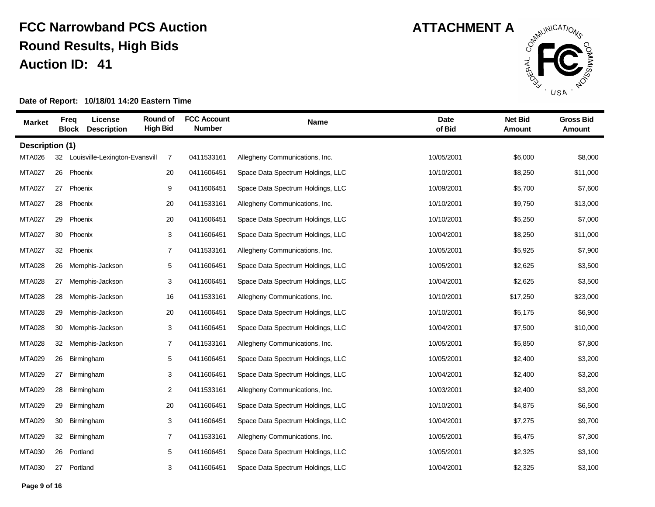

| <b>Market</b>   | <b>Freq</b> | License<br><b>Description</b><br><b>Block</b> | Round of<br><b>High Bid</b> | <b>FCC Account</b><br><b>Number</b> | <b>Name</b>                       | <b>Date</b><br>of Bid | <b>Net Bid</b><br>Amount | <b>Gross Bid</b><br>Amount |
|-----------------|-------------|-----------------------------------------------|-----------------------------|-------------------------------------|-----------------------------------|-----------------------|--------------------------|----------------------------|
| Description (1) |             |                                               |                             |                                     |                                   |                       |                          |                            |
| <b>MTA026</b>   | 32          | Louisville-Lexington-Evansvill                | 7                           | 0411533161                          | Allegheny Communications, Inc.    | 10/05/2001            | \$6,000                  | \$8,000                    |
| <b>MTA027</b>   | 26          | Phoenix                                       | 20                          | 0411606451                          | Space Data Spectrum Holdings, LLC | 10/10/2001            | \$8,250                  | \$11,000                   |
| <b>MTA027</b>   | 27          | Phoenix                                       | 9                           | 0411606451                          | Space Data Spectrum Holdings, LLC | 10/09/2001            | \$5,700                  | \$7,600                    |
| <b>MTA027</b>   | 28          | Phoenix                                       | 20                          | 0411533161                          | Allegheny Communications, Inc.    | 10/10/2001            | \$9,750                  | \$13,000                   |
| <b>MTA027</b>   | 29          | Phoenix                                       | 20                          | 0411606451                          | Space Data Spectrum Holdings, LLC | 10/10/2001            | \$5,250                  | \$7,000                    |
| <b>MTA027</b>   | 30          | Phoenix                                       | 3                           | 0411606451                          | Space Data Spectrum Holdings, LLC | 10/04/2001            | \$8,250                  | \$11,000                   |
| <b>MTA027</b>   | 32          | Phoenix                                       | $\overline{7}$              | 0411533161                          | Allegheny Communications, Inc.    | 10/05/2001            | \$5,925                  | \$7,900                    |
| <b>MTA028</b>   | 26          | Memphis-Jackson                               | 5                           | 0411606451                          | Space Data Spectrum Holdings, LLC | 10/05/2001            | \$2,625                  | \$3,500                    |
| <b>MTA028</b>   | 27          | Memphis-Jackson                               | 3                           | 0411606451                          | Space Data Spectrum Holdings, LLC | 10/04/2001            | \$2,625                  | \$3,500                    |
| <b>MTA028</b>   | 28          | Memphis-Jackson                               | 16                          | 0411533161                          | Allegheny Communications, Inc.    | 10/10/2001            | \$17,250                 | \$23,000                   |
| <b>MTA028</b>   | 29          | Memphis-Jackson                               | 20                          | 0411606451                          | Space Data Spectrum Holdings, LLC | 10/10/2001            | \$5,175                  | \$6,900                    |
| <b>MTA028</b>   | 30          | Memphis-Jackson                               | 3                           | 0411606451                          | Space Data Spectrum Holdings, LLC | 10/04/2001            | \$7,500                  | \$10,000                   |
| <b>MTA028</b>   | 32          | Memphis-Jackson                               | $\overline{7}$              | 0411533161                          | Allegheny Communications, Inc.    | 10/05/2001            | \$5,850                  | \$7,800                    |
| <b>MTA029</b>   | 26          | Birmingham                                    | 5                           | 0411606451                          | Space Data Spectrum Holdings, LLC | 10/05/2001            | \$2,400                  | \$3,200                    |
| <b>MTA029</b>   | 27          | Birmingham                                    | 3                           | 0411606451                          | Space Data Spectrum Holdings, LLC | 10/04/2001            | \$2,400                  | \$3,200                    |
| <b>MTA029</b>   | 28          | Birmingham                                    | $\overline{2}$              | 0411533161                          | Allegheny Communications, Inc.    | 10/03/2001            | \$2,400                  | \$3,200                    |
| <b>MTA029</b>   | 29          | Birmingham                                    | 20                          | 0411606451                          | Space Data Spectrum Holdings, LLC | 10/10/2001            | \$4,875                  | \$6,500                    |
| <b>MTA029</b>   | 30          | Birmingham                                    | 3                           | 0411606451                          | Space Data Spectrum Holdings, LLC | 10/04/2001            | \$7,275                  | \$9,700                    |
| <b>MTA029</b>   | 32          | Birmingham                                    | 7                           | 0411533161                          | Allegheny Communications, Inc.    | 10/05/2001            | \$5,475                  | \$7,300                    |
| <b>MTA030</b>   | 26          | Portland                                      | 5                           | 0411606451                          | Space Data Spectrum Holdings, LLC | 10/05/2001            | \$2,325                  | \$3,100                    |
| <b>MTA030</b>   | 27          | Portland                                      | 3                           | 0411606451                          | Space Data Spectrum Holdings, LLC | 10/04/2001            | \$2,325                  | \$3,100                    |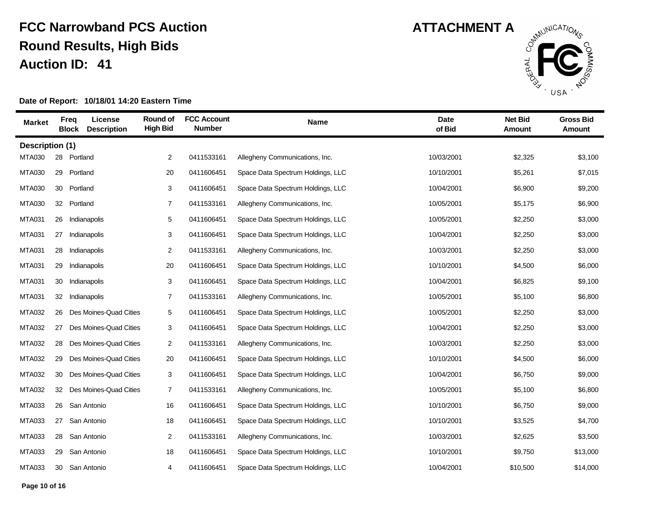

| <b>Market</b>   |    | License<br><b>Freq</b><br><b>Description</b><br><b>Block</b> | Round of<br><b>High Bid</b> | <b>FCC Account</b><br><b>Number</b> | Name                              | <b>Date</b><br>of Bid | <b>Net Bid</b><br>Amount | <b>Gross Bid</b><br><b>Amount</b> |
|-----------------|----|--------------------------------------------------------------|-----------------------------|-------------------------------------|-----------------------------------|-----------------------|--------------------------|-----------------------------------|
| Description (1) |    |                                                              |                             |                                     |                                   |                       |                          |                                   |
| <b>MTA030</b>   | 28 | Portland                                                     | 2                           | 0411533161                          | Allegheny Communications, Inc.    | 10/03/2001            | \$2,325                  | \$3,100                           |
| <b>MTA030</b>   | 29 | Portland                                                     | 20                          | 0411606451                          | Space Data Spectrum Holdings, LLC | 10/10/2001            | \$5,261                  | \$7,015                           |
| <b>MTA030</b>   | 30 | Portland                                                     | 3                           | 0411606451                          | Space Data Spectrum Holdings, LLC | 10/04/2001            | \$6,900                  | \$9,200                           |
| <b>MTA030</b>   |    | 32 Portland                                                  | $\overline{7}$              | 0411533161                          | Allegheny Communications, Inc.    | 10/05/2001            | \$5,175                  | \$6,900                           |
| <b>MTA031</b>   | 26 | Indianapolis                                                 | 5                           | 0411606451                          | Space Data Spectrum Holdings, LLC | 10/05/2001            | \$2,250                  | \$3,000                           |
| <b>MTA031</b>   | 27 | Indianapolis                                                 | 3                           | 0411606451                          | Space Data Spectrum Holdings, LLC | 10/04/2001            | \$2,250                  | \$3,000                           |
| <b>MTA031</b>   | 28 | Indianapolis                                                 | 2                           | 0411533161                          | Allegheny Communications, Inc.    | 10/03/2001            | \$2,250                  | \$3,000                           |
| <b>MTA031</b>   | 29 | Indianapolis                                                 | 20                          | 0411606451                          | Space Data Spectrum Holdings, LLC | 10/10/2001            | \$4,500                  | \$6,000                           |
| <b>MTA031</b>   | 30 | Indianapolis                                                 | 3                           | 0411606451                          | Space Data Spectrum Holdings, LLC | 10/04/2001            | \$6,825                  | \$9,100                           |
| <b>MTA031</b>   | 32 | Indianapolis                                                 | 7                           | 0411533161                          | Allegheny Communications, Inc.    | 10/05/2001            | \$5,100                  | \$6,800                           |
| <b>MTA032</b>   | 26 | Des Moines-Quad Cities                                       | 5                           | 0411606451                          | Space Data Spectrum Holdings, LLC | 10/05/2001            | \$2,250                  | \$3,000                           |
| <b>MTA032</b>   | 27 | Des Moines-Quad Cities                                       | 3                           | 0411606451                          | Space Data Spectrum Holdings, LLC | 10/04/2001            | \$2,250                  | \$3,000                           |
| <b>MTA032</b>   | 28 | Des Moines-Quad Cities                                       | $\overline{2}$              | 0411533161                          | Allegheny Communications, Inc.    | 10/03/2001            | \$2,250                  | \$3,000                           |
| <b>MTA032</b>   | 29 | Des Moines-Quad Cities                                       | 20                          | 0411606451                          | Space Data Spectrum Holdings, LLC | 10/10/2001            | \$4,500                  | \$6,000                           |
| <b>MTA032</b>   | 30 | Des Moines-Quad Cities                                       | 3                           | 0411606451                          | Space Data Spectrum Holdings, LLC | 10/04/2001            | \$6,750                  | \$9,000                           |
| <b>MTA032</b>   | 32 | Des Moines-Quad Cities                                       | $\overline{7}$              | 0411533161                          | Allegheny Communications, Inc.    | 10/05/2001            | \$5,100                  | \$6,800                           |
| <b>MTA033</b>   | 26 | San Antonio                                                  | 16                          | 0411606451                          | Space Data Spectrum Holdings, LLC | 10/10/2001            | \$6,750                  | \$9,000                           |
| <b>MTA033</b>   | 27 | San Antonio                                                  | 18                          | 0411606451                          | Space Data Spectrum Holdings, LLC | 10/10/2001            | \$3,525                  | \$4,700                           |
| <b>MTA033</b>   | 28 | San Antonio                                                  | $\overline{2}$              | 0411533161                          | Allegheny Communications, Inc.    | 10/03/2001            | \$2,625                  | \$3,500                           |
| <b>MTA033</b>   | 29 | San Antonio                                                  | 18                          | 0411606451                          | Space Data Spectrum Holdings, LLC | 10/10/2001            | \$9,750                  | \$13,000                          |
| <b>MTA033</b>   |    | 30 San Antonio                                               | 4                           | 0411606451                          | Space Data Spectrum Holdings, LLC | 10/04/2001            | \$10,500                 | \$14,000                          |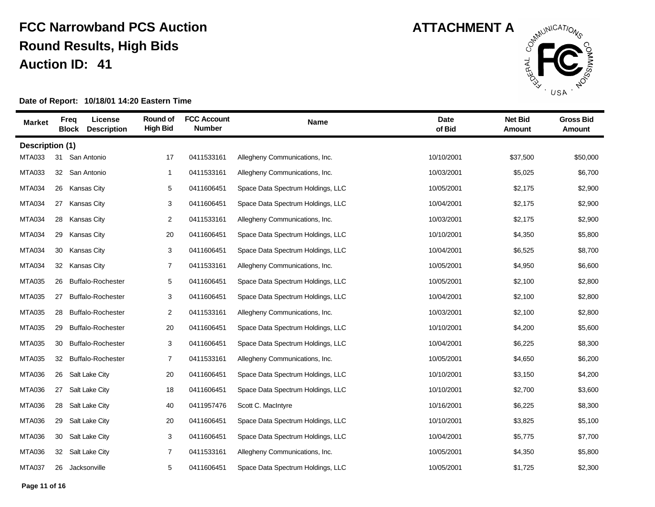

| <b>Market</b>   | <b>Freq</b><br><b>Block</b> | License<br><b>Description</b> | <b>Round of</b><br><b>High Bid</b> | <b>FCC Account</b><br><b>Number</b> | <b>Name</b>                       | <b>Date</b><br>of Bid | <b>Net Bid</b><br><b>Amount</b> | <b>Gross Bid</b><br><b>Amount</b> |
|-----------------|-----------------------------|-------------------------------|------------------------------------|-------------------------------------|-----------------------------------|-----------------------|---------------------------------|-----------------------------------|
| Description (1) |                             |                               |                                    |                                     |                                   |                       |                                 |                                   |
| <b>MTA033</b>   | 31                          | San Antonio                   | 17                                 | 0411533161                          | Allegheny Communications, Inc.    | 10/10/2001            | \$37,500                        | \$50,000                          |
| <b>MTA033</b>   |                             | 32 San Antonio                | $\mathbf{1}$                       | 0411533161                          | Allegheny Communications, Inc.    | 10/03/2001            | \$5,025                         | \$6,700                           |
| <b>MTA034</b>   | 26                          | <b>Kansas City</b>            | 5                                  | 0411606451                          | Space Data Spectrum Holdings, LLC | 10/05/2001            | \$2,175                         | \$2,900                           |
| <b>MTA034</b>   | 27                          | <b>Kansas City</b>            | 3                                  | 0411606451                          | Space Data Spectrum Holdings, LLC | 10/04/2001            | \$2,175                         | \$2,900                           |
| <b>MTA034</b>   | 28                          | <b>Kansas City</b>            | 2                                  | 0411533161                          | Allegheny Communications, Inc.    | 10/03/2001            | \$2,175                         | \$2,900                           |
| <b>MTA034</b>   | 29                          | <b>Kansas City</b>            | 20                                 | 0411606451                          | Space Data Spectrum Holdings, LLC | 10/10/2001            | \$4,350                         | \$5,800                           |
| <b>MTA034</b>   | 30                          | <b>Kansas City</b>            | 3                                  | 0411606451                          | Space Data Spectrum Holdings, LLC | 10/04/2001            | \$6,525                         | \$8,700                           |
| <b>MTA034</b>   | 32                          | <b>Kansas City</b>            | $\overline{7}$                     | 0411533161                          | Allegheny Communications, Inc.    | 10/05/2001            | \$4,950                         | \$6,600                           |
| <b>MTA035</b>   | 26                          | <b>Buffalo-Rochester</b>      | 5                                  | 0411606451                          | Space Data Spectrum Holdings, LLC | 10/05/2001            | \$2,100                         | \$2,800                           |
| <b>MTA035</b>   | 27                          | <b>Buffalo-Rochester</b>      | 3                                  | 0411606451                          | Space Data Spectrum Holdings, LLC | 10/04/2001            | \$2,100                         | \$2,800                           |
| <b>MTA035</b>   | 28                          | <b>Buffalo-Rochester</b>      | $\overline{2}$                     | 0411533161                          | Allegheny Communications, Inc.    | 10/03/2001            | \$2,100                         | \$2,800                           |
| <b>MTA035</b>   | 29                          | <b>Buffalo-Rochester</b>      | 20                                 | 0411606451                          | Space Data Spectrum Holdings, LLC | 10/10/2001            | \$4,200                         | \$5,600                           |
| <b>MTA035</b>   | 30                          | <b>Buffalo-Rochester</b>      | 3                                  | 0411606451                          | Space Data Spectrum Holdings, LLC | 10/04/2001            | \$6,225                         | \$8,300                           |
| <b>MTA035</b>   | 32                          | <b>Buffalo-Rochester</b>      | $\overline{7}$                     | 0411533161                          | Allegheny Communications, Inc.    | 10/05/2001            | \$4,650                         | \$6,200                           |
| <b>MTA036</b>   | 26                          | <b>Salt Lake City</b>         | 20                                 | 0411606451                          | Space Data Spectrum Holdings, LLC | 10/10/2001            | \$3,150                         | \$4,200                           |
| <b>MTA036</b>   | 27                          | <b>Salt Lake City</b>         | 18                                 | 0411606451                          | Space Data Spectrum Holdings, LLC | 10/10/2001            | \$2,700                         | \$3,600                           |
| <b>MTA036</b>   | 28                          | Salt Lake City                | 40                                 | 0411957476                          | Scott C. MacIntyre                | 10/16/2001            | \$6,225                         | \$8,300                           |
| <b>MTA036</b>   | 29                          | Salt Lake City                | 20                                 | 0411606451                          | Space Data Spectrum Holdings, LLC | 10/10/2001            | \$3,825                         | \$5,100                           |
| <b>MTA036</b>   | 30                          | <b>Salt Lake City</b>         | 3                                  | 0411606451                          | Space Data Spectrum Holdings, LLC | 10/04/2001            | \$5,775                         | \$7,700                           |
| <b>MTA036</b>   | 32                          | Salt Lake City                | 7                                  | 0411533161                          | Allegheny Communications, Inc.    | 10/05/2001            | \$4,350                         | \$5,800                           |
| <b>MTA037</b>   | 26                          | Jacksonville                  | 5                                  | 0411606451                          | Space Data Spectrum Holdings, LLC | 10/05/2001            | \$1,725                         | \$2,300                           |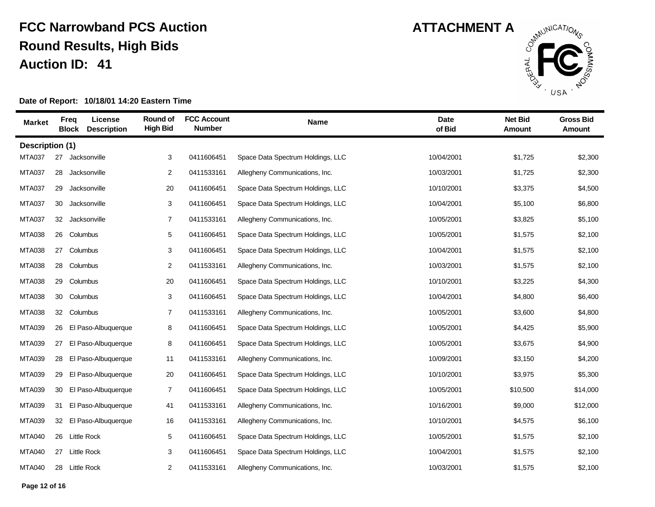

| <b>Market</b>          | <b>Freq</b><br><b>Block</b> | License<br><b>Description</b> | Round of<br><b>High Bid</b> | <b>FCC Account</b><br><b>Number</b> | <b>Name</b>                       | <b>Date</b><br>of Bid | <b>Net Bid</b><br>Amount | <b>Gross Bid</b><br><b>Amount</b> |
|------------------------|-----------------------------|-------------------------------|-----------------------------|-------------------------------------|-----------------------------------|-----------------------|--------------------------|-----------------------------------|
| <b>Description (1)</b> |                             |                               |                             |                                     |                                   |                       |                          |                                   |
| <b>MTA037</b>          | 27                          | Jacksonville                  | 3                           | 0411606451                          | Space Data Spectrum Holdings, LLC | 10/04/2001            | \$1,725                  | \$2,300                           |
| <b>MTA037</b>          | 28                          | Jacksonville                  | 2                           | 0411533161                          | Allegheny Communications, Inc.    | 10/03/2001            | \$1,725                  | \$2,300                           |
| <b>MTA037</b>          | 29                          | Jacksonville                  | 20                          | 0411606451                          | Space Data Spectrum Holdings, LLC | 10/10/2001            | \$3,375                  | \$4,500                           |
| <b>MTA037</b>          | 30                          | Jacksonville                  | 3                           | 0411606451                          | Space Data Spectrum Holdings, LLC | 10/04/2001            | \$5,100                  | \$6,800                           |
| <b>MTA037</b>          | 32                          | Jacksonville                  | $\overline{7}$              | 0411533161                          | Allegheny Communications, Inc.    | 10/05/2001            | \$3,825                  | \$5,100                           |
| <b>MTA038</b>          | 26                          | Columbus                      | $\,$ 5 $\,$                 | 0411606451                          | Space Data Spectrum Holdings, LLC | 10/05/2001            | \$1,575                  | \$2,100                           |
| <b>MTA038</b>          | 27                          | Columbus                      | 3                           | 0411606451                          | Space Data Spectrum Holdings, LLC | 10/04/2001            | \$1,575                  | \$2,100                           |
| <b>MTA038</b>          | 28                          | Columbus                      | $\overline{c}$              | 0411533161                          | Allegheny Communications, Inc.    | 10/03/2001            | \$1,575                  | \$2,100                           |
| <b>MTA038</b>          | 29                          | Columbus                      | 20                          | 0411606451                          | Space Data Spectrum Holdings, LLC | 10/10/2001            | \$3,225                  | \$4,300                           |
| <b>MTA038</b>          |                             | 30 Columbus                   | 3                           | 0411606451                          | Space Data Spectrum Holdings, LLC | 10/04/2001            | \$4,800                  | \$6,400                           |
| <b>MTA038</b>          |                             | 32 Columbus                   | $\overline{7}$              | 0411533161                          | Allegheny Communications, Inc.    | 10/05/2001            | \$3,600                  | \$4,800                           |
| <b>MTA039</b>          | 26                          | El Paso-Albuquerque           | 8                           | 0411606451                          | Space Data Spectrum Holdings, LLC | 10/05/2001            | \$4,425                  | \$5,900                           |
| <b>MTA039</b>          | 27                          | El Paso-Albuquerque           | 8                           | 0411606451                          | Space Data Spectrum Holdings, LLC | 10/05/2001            | \$3,675                  | \$4,900                           |
| <b>MTA039</b>          | 28                          | El Paso-Albuquerque           | 11                          | 0411533161                          | Allegheny Communications, Inc.    | 10/09/2001            | \$3,150                  | \$4,200                           |
| <b>MTA039</b>          | 29                          | El Paso-Albuquerque           | 20                          | 0411606451                          | Space Data Spectrum Holdings, LLC | 10/10/2001            | \$3,975                  | \$5,300                           |
| <b>MTA039</b>          | 30                          | El Paso-Albuquerque           | $\overline{7}$              | 0411606451                          | Space Data Spectrum Holdings, LLC | 10/05/2001            | \$10,500                 | \$14,000                          |
| <b>MTA039</b>          | 31                          | El Paso-Albuquerque           | 41                          | 0411533161                          | Allegheny Communications, Inc.    | 10/16/2001            | \$9,000                  | \$12,000                          |
| <b>MTA039</b>          | 32                          | El Paso-Albuquerque           | 16                          | 0411533161                          | Allegheny Communications, Inc.    | 10/10/2001            | \$4,575                  | \$6,100                           |
| <b>MTA040</b>          | 26                          | <b>Little Rock</b>            | 5                           | 0411606451                          | Space Data Spectrum Holdings, LLC | 10/05/2001            | \$1,575                  | \$2,100                           |
| <b>MTA040</b>          | 27                          | <b>Little Rock</b>            | 3                           | 0411606451                          | Space Data Spectrum Holdings, LLC | 10/04/2001            | \$1,575                  | \$2,100                           |
| <b>MTA040</b>          |                             | 28 Little Rock                | $\overline{c}$              | 0411533161                          | Allegheny Communications, Inc.    | 10/03/2001            | \$1,575                  | \$2,100                           |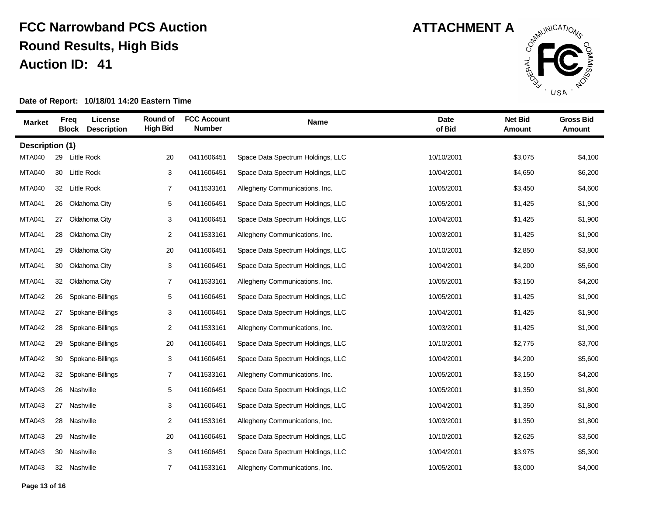

| <b>Market</b>   | <b>Freq</b><br><b>Block</b> | License<br><b>Description</b> | Round of<br><b>High Bid</b> | <b>FCC Account</b><br><b>Number</b> | <b>Name</b>                       | <b>Date</b><br>of Bid | <b>Net Bid</b><br>Amount | <b>Gross Bid</b><br>Amount |
|-----------------|-----------------------------|-------------------------------|-----------------------------|-------------------------------------|-----------------------------------|-----------------------|--------------------------|----------------------------|
| Description (1) |                             |                               |                             |                                     |                                   |                       |                          |                            |
| <b>MTA040</b>   |                             | 29 Little Rock                | 20                          | 0411606451                          | Space Data Spectrum Holdings, LLC | 10/10/2001            | \$3,075                  | \$4,100                    |
| <b>MTA040</b>   |                             | 30 Little Rock                | 3                           | 0411606451                          | Space Data Spectrum Holdings, LLC | 10/04/2001            | \$4,650                  | \$6,200                    |
| <b>MTA040</b>   | 32                          | <b>Little Rock</b>            | $\overline{7}$              | 0411533161                          | Allegheny Communications, Inc.    | 10/05/2001            | \$3,450                  | \$4,600                    |
| <b>MTA041</b>   |                             | 26 Oklahoma City              | $\sqrt{5}$                  | 0411606451                          | Space Data Spectrum Holdings, LLC | 10/05/2001            | \$1,425                  | \$1,900                    |
| <b>MTA041</b>   | 27                          | Oklahoma City                 | 3                           | 0411606451                          | Space Data Spectrum Holdings, LLC | 10/04/2001            | \$1,425                  | \$1,900                    |
| <b>MTA041</b>   |                             | 28 Oklahoma City              | 2                           | 0411533161                          | Allegheny Communications, Inc.    | 10/03/2001            | \$1,425                  | \$1,900                    |
| <b>MTA041</b>   | 29                          | Oklahoma City                 | 20                          | 0411606451                          | Space Data Spectrum Holdings, LLC | 10/10/2001            | \$2,850                  | \$3,800                    |
| <b>MTA041</b>   | 30                          | Oklahoma City                 | 3                           | 0411606451                          | Space Data Spectrum Holdings, LLC | 10/04/2001            | \$4,200                  | \$5,600                    |
| <b>MTA041</b>   | 32                          | Oklahoma City                 | $\overline{7}$              | 0411533161                          | Allegheny Communications, Inc.    | 10/05/2001            | \$3,150                  | \$4,200                    |
| <b>MTA042</b>   | 26                          | Spokane-Billings              | 5                           | 0411606451                          | Space Data Spectrum Holdings, LLC | 10/05/2001            | \$1,425                  | \$1,900                    |
| <b>MTA042</b>   | 27                          | Spokane-Billings              | 3                           | 0411606451                          | Space Data Spectrum Holdings, LLC | 10/04/2001            | \$1,425                  | \$1,900                    |
| <b>MTA042</b>   | 28                          | Spokane-Billings              | $\overline{c}$              | 0411533161                          | Allegheny Communications, Inc.    | 10/03/2001            | \$1,425                  | \$1,900                    |
| <b>MTA042</b>   | 29                          | Spokane-Billings              | 20                          | 0411606451                          | Space Data Spectrum Holdings, LLC | 10/10/2001            | \$2,775                  | \$3,700                    |
| <b>MTA042</b>   | 30                          | Spokane-Billings              | 3                           | 0411606451                          | Space Data Spectrum Holdings, LLC | 10/04/2001            | \$4,200                  | \$5,600                    |
| <b>MTA042</b>   | 32                          | Spokane-Billings              | $\overline{7}$              | 0411533161                          | Allegheny Communications, Inc.    | 10/05/2001            | \$3,150                  | \$4,200                    |
| <b>MTA043</b>   | 26                          | Nashville                     | 5                           | 0411606451                          | Space Data Spectrum Holdings, LLC | 10/05/2001            | \$1,350                  | \$1,800                    |
| <b>MTA043</b>   | 27                          | Nashville                     | 3                           | 0411606451                          | Space Data Spectrum Holdings, LLC | 10/04/2001            | \$1,350                  | \$1,800                    |
| <b>MTA043</b>   | 28                          | Nashville                     | 2                           | 0411533161                          | Allegheny Communications, Inc.    | 10/03/2001            | \$1,350                  | \$1,800                    |
| <b>MTA043</b>   | 29                          | Nashville                     | 20                          | 0411606451                          | Space Data Spectrum Holdings, LLC | 10/10/2001            | \$2,625                  | \$3,500                    |
| <b>MTA043</b>   |                             | 30 Nashville                  | 3                           | 0411606451                          | Space Data Spectrum Holdings, LLC | 10/04/2001            | \$3,975                  | \$5,300                    |
| <b>MTA043</b>   |                             | 32 Nashville                  | $\overline{7}$              | 0411533161                          | Allegheny Communications, Inc.    | 10/05/2001            | \$3,000                  | \$4,000                    |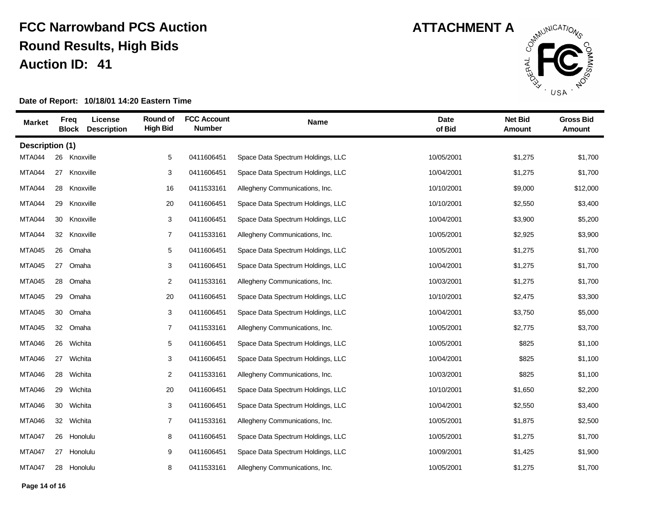

| <b>Market</b>   | <b>Freq</b><br><b>Block</b> | License<br><b>Description</b> | Round of<br><b>High Bid</b> | <b>FCC Account</b><br><b>Number</b> | Name                              | <b>Date</b><br>of Bid | <b>Net Bid</b><br>Amount | <b>Gross Bid</b><br><b>Amount</b> |
|-----------------|-----------------------------|-------------------------------|-----------------------------|-------------------------------------|-----------------------------------|-----------------------|--------------------------|-----------------------------------|
| Description (1) |                             |                               |                             |                                     |                                   |                       |                          |                                   |
| <b>MTA044</b>   | 26                          | Knoxville                     | 5                           | 0411606451                          | Space Data Spectrum Holdings, LLC | 10/05/2001            | \$1,275                  | \$1,700                           |
| MTA044          | 27                          | Knoxville                     | 3                           | 0411606451                          | Space Data Spectrum Holdings, LLC | 10/04/2001            | \$1,275                  | \$1,700                           |
| <b>MTA044</b>   | 28                          | Knoxville                     | 16                          | 0411533161                          | Allegheny Communications, Inc.    | 10/10/2001            | \$9,000                  | \$12,000                          |
| MTA044          | 29                          | Knoxville                     | 20                          | 0411606451                          | Space Data Spectrum Holdings, LLC | 10/10/2001            | \$2,550                  | \$3,400                           |
| <b>MTA044</b>   | 30                          | Knoxville                     | 3                           | 0411606451                          | Space Data Spectrum Holdings, LLC | 10/04/2001            | \$3,900                  | \$5,200                           |
| <b>MTA044</b>   | 32 Knoxville                |                               | $\overline{7}$              | 0411533161                          | Allegheny Communications, Inc.    | 10/05/2001            | \$2,925                  | \$3,900                           |
| <b>MTA045</b>   | 26                          | Omaha                         | 5                           | 0411606451                          | Space Data Spectrum Holdings, LLC | 10/05/2001            | \$1,275                  | \$1,700                           |
| <b>MTA045</b>   | 27                          | Omaha                         | 3                           | 0411606451                          | Space Data Spectrum Holdings, LLC | 10/04/2001            | \$1,275                  | \$1,700                           |
| <b>MTA045</b>   | 28                          | Omaha                         | 2                           | 0411533161                          | Allegheny Communications, Inc.    | 10/03/2001            | \$1,275                  | \$1,700                           |
| <b>MTA045</b>   | 29                          | Omaha                         | 20                          | 0411606451                          | Space Data Spectrum Holdings, LLC | 10/10/2001            | \$2,475                  | \$3,300                           |
| <b>MTA045</b>   | 30                          | Omaha                         | 3                           | 0411606451                          | Space Data Spectrum Holdings, LLC | 10/04/2001            | \$3,750                  | \$5,000                           |
| <b>MTA045</b>   | 32                          | Omaha                         | $\overline{7}$              | 0411533161                          | Allegheny Communications, Inc.    | 10/05/2001            | \$2,775                  | \$3,700                           |
| <b>MTA046</b>   | 26                          | Wichita                       | 5                           | 0411606451                          | Space Data Spectrum Holdings, LLC | 10/05/2001            | \$825                    | \$1,100                           |
| <b>MTA046</b>   | 27                          | Wichita                       | 3                           | 0411606451                          | Space Data Spectrum Holdings, LLC | 10/04/2001            | \$825                    | \$1,100                           |
| <b>MTA046</b>   | 28                          | Wichita                       | $\overline{c}$              | 0411533161                          | Allegheny Communications, Inc.    | 10/03/2001            | \$825                    | \$1,100                           |
| <b>MTA046</b>   | 29                          | Wichita                       | 20                          | 0411606451                          | Space Data Spectrum Holdings, LLC | 10/10/2001            | \$1,650                  | \$2,200                           |
| <b>MTA046</b>   | 30                          | Wichita                       | 3                           | 0411606451                          | Space Data Spectrum Holdings, LLC | 10/04/2001            | \$2,550                  | \$3,400                           |
| <b>MTA046</b>   | 32                          | Wichita                       | $\overline{7}$              | 0411533161                          | Allegheny Communications, Inc.    | 10/05/2001            | \$1,875                  | \$2,500                           |
| MTA047          | 26                          | Honolulu                      | 8                           | 0411606451                          | Space Data Spectrum Holdings, LLC | 10/05/2001            | \$1,275                  | \$1,700                           |
| MTA047          | 27 Honolulu                 |                               | 9                           | 0411606451                          | Space Data Spectrum Holdings, LLC | 10/09/2001            | \$1,425                  | \$1,900                           |
| <b>MTA047</b>   | 28 Honolulu                 |                               | 8                           | 0411533161                          | Allegheny Communications, Inc.    | 10/05/2001            | \$1,275                  | \$1,700                           |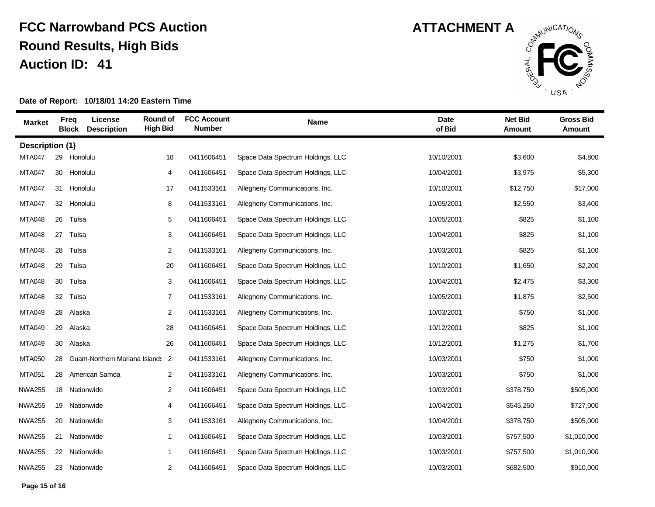

| <b>Market</b>   |    | License<br>Freq<br><b>Block</b><br><b>Description</b> | Round of<br><b>High Bid</b> | <b>FCC Account</b><br><b>Number</b> | Name                              | <b>Date</b><br>of Bid | <b>Net Bid</b><br>Amount | <b>Gross Bid</b><br>Amount |
|-----------------|----|-------------------------------------------------------|-----------------------------|-------------------------------------|-----------------------------------|-----------------------|--------------------------|----------------------------|
| Description (1) |    |                                                       |                             |                                     |                                   |                       |                          |                            |
| <b>MTA047</b>   | 29 | Honolulu                                              | 18                          | 0411606451                          | Space Data Spectrum Holdings, LLC | 10/10/2001            | \$3,600                  | \$4,800                    |
| <b>MTA047</b>   | 30 | Honolulu                                              | 4                           | 0411606451                          | Space Data Spectrum Holdings, LLC | 10/04/2001            | \$3,975                  | \$5,300                    |
| <b>MTA047</b>   | 31 | Honolulu                                              | 17                          | 0411533161                          | Allegheny Communications, Inc.    | 10/10/2001            | \$12,750                 | \$17,000                   |
| <b>MTA047</b>   |    | 32 Honolulu                                           | 8                           | 0411533161                          | Allegheny Communications, Inc.    | 10/05/2001            | \$2,550                  | \$3,400                    |
| <b>MTA048</b>   |    | 26 Tulsa                                              | 5                           | 0411606451                          | Space Data Spectrum Holdings, LLC | 10/05/2001            | \$825                    | \$1,100                    |
| <b>MTA048</b>   | 27 | Tulsa                                                 | 3                           | 0411606451                          | Space Data Spectrum Holdings, LLC | 10/04/2001            | \$825                    | \$1,100                    |
| <b>MTA048</b>   | 28 | Tulsa                                                 | $\overline{c}$              | 0411533161                          | Allegheny Communications, Inc.    | 10/03/2001            | \$825                    | \$1,100                    |
| <b>MTA048</b>   | 29 | Tulsa                                                 | 20                          | 0411606451                          | Space Data Spectrum Holdings, LLC | 10/10/2001            | \$1,650                  | \$2,200                    |
| <b>MTA048</b>   |    | 30 Tulsa                                              | 3                           | 0411606451                          | Space Data Spectrum Holdings, LLC | 10/04/2001            | \$2,475                  | \$3,300                    |
| <b>MTA048</b>   |    | 32 Tulsa                                              | $\overline{7}$              | 0411533161                          | Allegheny Communications, Inc.    | 10/05/2001            | \$1,875                  | \$2,500                    |
| <b>MTA049</b>   | 28 | Alaska                                                | $\overline{c}$              | 0411533161                          | Allegheny Communications, Inc.    | 10/03/2001            | \$750                    | \$1,000                    |
| <b>MTA049</b>   | 29 | Alaska                                                | 28                          | 0411606451                          | Space Data Spectrum Holdings, LLC | 10/12/2001            | \$825                    | \$1,100                    |
| <b>MTA049</b>   | 30 | Alaska                                                | 26                          | 0411606451                          | Space Data Spectrum Holdings, LLC | 10/12/2001            | \$1,275                  | \$1,700                    |
| <b>MTA050</b>   | 28 | Guam-Northern Mariana Islands                         | $\overline{2}$              | 0411533161                          | Allegheny Communications, Inc.    | 10/03/2001            | \$750                    | \$1,000                    |
| <b>MTA051</b>   | 28 | American Samoa                                        | 2                           | 0411533161                          | Allegheny Communications, Inc.    | 10/03/2001            | \$750                    | \$1,000                    |
| <b>NWA255</b>   |    | 18 Nationwide                                         | $\overline{2}$              | 0411606451                          | Space Data Spectrum Holdings, LLC | 10/03/2001            | \$378,750                | \$505,000                  |
| <b>NWA255</b>   | 19 | Nationwide                                            | 4                           | 0411606451                          | Space Data Spectrum Holdings, LLC | 10/04/2001            | \$545,250                | \$727,000                  |
| <b>NWA255</b>   | 20 | Nationwide                                            | 3                           | 0411533161                          | Allegheny Communications, Inc.    | 10/04/2001            | \$378,750                | \$505,000                  |
| <b>NWA255</b>   | 21 | Nationwide                                            | $\mathbf{1}$                | 0411606451                          | Space Data Spectrum Holdings, LLC | 10/03/2001            | \$757,500                | \$1,010,000                |
| <b>NWA255</b>   | 22 | Nationwide                                            | 1                           | 0411606451                          | Space Data Spectrum Holdings, LLC | 10/03/2001            | \$757,500                | \$1,010,000                |
| <b>NWA255</b>   |    | 23 Nationwide                                         | 2                           | 0411606451                          | Space Data Spectrum Holdings, LLC | 10/03/2001            | \$682,500                | \$910,000                  |